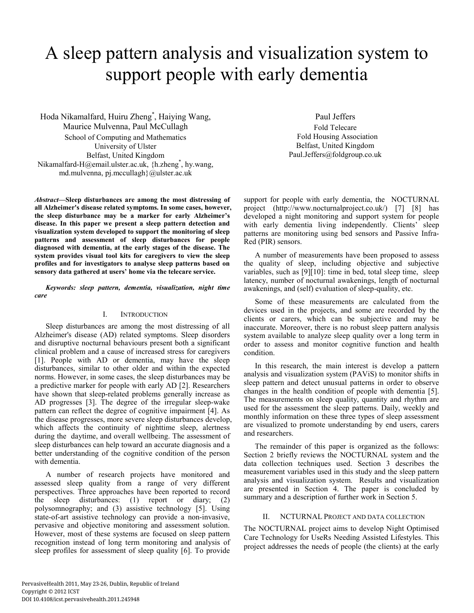# A sleep pattern analysis and visualization system to support people with early dementia

Hoda Nikamalfard, Huiru Zheng\* , Haiying Wang, Maurice Mulvenna, Paul McCullagh School of Computing and Mathematics University of Ulster Belfast, United Kingdom Nikamalfard-H@email.ulster.ac.uk, {h.zheng\* , hy.wang, md.mulvenna, pj.mccullagh}@ulster.ac.uk

*Abstract***—Sleep disturbances are among the most distressing of all Alzheimer's disease related symptoms. In some cases, however, the sleep disturbance may be a marker for early Alzheimer's disease. In this paper we present a sleep pattern detection and visualization system developed to support the monitoring of sleep patterns and assessment of sleep disturbances for people diagnosed with dementia, at the early stages of the disease. The system provides visual tool kits for caregivers to view the sleep profiles and for investigators to analyse sleep patterns based on sensory data gathered at users' home via the telecare service.** 

*Keywords: sleep pattern, dementia, visualization, night time care* 

#### I. INTRODUCTION

Sleep disturbances are among the most distressing of all Alzheimer's disease (AD) related symptoms. Sleep disorders and disruptive nocturnal behaviours present both a significant clinical problem and a cause of increased stress for caregivers [1]. People with AD or dementia, may have the sleep disturbances, similar to other older and within the expected norms. However, in some cases, the sleep disturbances may be a predictive marker for people with early AD [2]. Researchers have shown that sleep-related problems generally increase as AD progresses [3]. The degree of the irregular sleep-wake pattern can reflect the degree of cognitive impairment [4]. As the disease progresses, more severe sleep disturbances develop, which affects the continuity of nighttime sleep, alertness during the daytime, and overall wellbeing. The assessment of sleep disturbances can help toward an accurate diagnosis and a better understanding of the cognitive condition of the person with dementia.

A number of research projects have monitored and assessed sleep quality from a range of very different perspectives. Three approaches have been reported to record the sleep disturbances: (1) report or diary; (2) polysomnography; and (3) assistive technology [5]. Using state-of-art assistive technology can provide a non-invasive, pervasive and objective monitoring and assessment solution. However, most of these systems are focused on sleep pattern recognition instead of long term monitoring and analysis of sleep profiles for assessment of sleep quality [6]. To provide

Paul Jeffers Fold Telecare Fold Housing Association Belfast, United Kingdom Paul.Jeffers@foldgroup.co.uk

support for people with early dementia, the NOCTURNAL project (http://www.nocturnalproject.co.uk/) [7] [8] has developed a night monitoring and support system for people with early dementia living independently. Clients' sleep patterns are monitoring using bed sensors and Passive Infra-Red (PIR) sensors.

A number of measurements have been proposed to assess the quality of sleep, including objective and subjective variables, such as [9][10]: time in bed, total sleep time, sleep latency, number of nocturnal awakenings, length of nocturnal awakenings, and (self) evaluation of sleep-quality, etc.

Some of these measurements are calculated from the devices used in the projects, and some are recorded by the clients or carers, which can be subjective and may be inaccurate. Moreover, there is no robust sleep pattern analysis system available to analyze sleep quality over a long term in order to assess and monitor cognitive function and health condition.

In this research, the main interest is develop a pattern analysis and visualization system (PAViS) to monitor shifts in sleep pattern and detect unusual patterns in order to observe changes in the health condition of people with dementia [5]. The measurements on sleep quality, quantity and rhythm are used for the assessment the sleep patterns. Daily, weekly and monthly information on these three types of sleep assessment are visualized to promote understanding by end users, carers and researchers.

The remainder of this paper is organized as the follows: Section 2 briefly reviews the NOCTURNAL system and the data collection techniques used. Section 3 describes the measurement variables used in this study and the sleep pattern analysis and visualization system. Results and visualization are presented in Section 4. The paper is concluded by summary and a description of further work in Section 5.

### II. NCTURNAL PROJECT AND DATA COLLECTION

The NOCTURNAL project aims to develop Night Optimised Care Technology for UseRs Needing Assisted Lifestyles. This project addresses the needs of people (the clients) at the early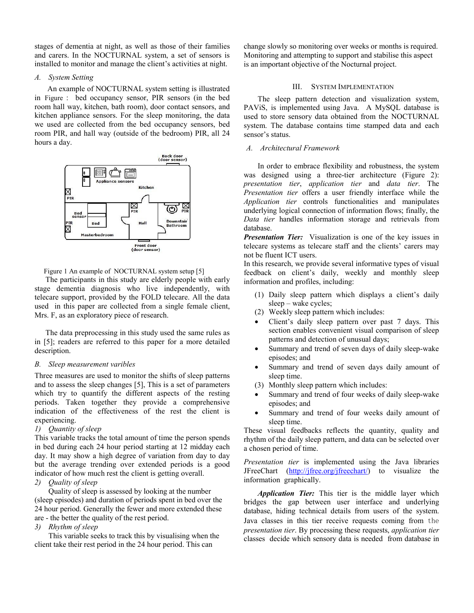stages of dementia at night, as well as those of their families and carers. In the NOCTURNAL system, a set of sensors is installed to monitor and manage the client's activities at night.

#### *A. System Setting*

 An example of NOCTURNAL system setting is illustrated in Figure : bed occupancy sensor, PIR sensors (in the bed room hall way, kitchen, bath room), door contact sensors, and kitchen appliance sensors. For the sleep monitoring, the data we used are collected from the bed occupancy sensors, bed room PIR, and hall way (outside of the bedroom) PIR, all 24 hours a day.



Figure 1 An example of NOCTURNAL system setup [5]

The participants in this study are elderly people with early stage dementia diagnosis who live independently, with telecare support, provided by the FOLD telecare. All the data used in this paper are collected from a single female client, Mrs. F, as an exploratory piece of research.

The data preprocessing in this study used the same rules as in [5]; readers are referred to this paper for a more detailed description.

### *B. Sleep measurement varibles*

Three measures are used to monitor the shifts of sleep patterns and to assess the sleep changes [5], This is a set of parameters which try to quantify the different aspects of the resting periods. Taken together they provide a comprehensive indication of the effectiveness of the rest the client is experiencing.

### *1) Quantity of sleep*

This variable tracks the total amount of time the person spends in bed during each 24 hour period starting at 12 midday each day. It may show a high degree of variation from day to day but the average trending over extended periods is a good indicator of how much rest the client is getting overall.

# *2) Quality of sleep*

Quality of sleep is assessed by looking at the number (sleep episodes) and duration of periods spent in bed over the 24 hour period. Generally the fewer and more extended these are - the better the quality of the rest period.

### *3) Rhythm of sleep*

This variable seeks to track this by visualising when the client take their rest period in the 24 hour period. This can

change slowly so monitoring over weeks or months is required. Monitoring and attempting to support and stabilise this aspect is an important objective of the Nocturnal project.

#### III. SYSTEM IMPLEMENTATION

The sleep pattern detection and visualization system, PAViS, is implemented using Java. A MySQL database is used to store sensory data obtained from the NOCTURNAL system. The database contains time stamped data and each sensor's status.

# *A. Architectural Framework*

In order to embrace flexibility and robustness, the system was designed using a three-tier architecture (Figure 2): *presentation tier*, *application tier* and *data tier*. The *Presentation tier* offers a user friendly interface while the *Application tier* controls functionalities and manipulates underlying logical connection of information flows; finally, the *Data tier* handles information storage and retrievals from database.

*Presentation Tier:* Visualization is one of the key issues in telecare systems as telecare staff and the clients' carers may not be fluent ICT users.

In this research, we provide several informative types of visual feedback on client's daily, weekly and monthly sleep information and profiles, including:

- (1) Daily sleep pattern which displays a client's daily sleep – wake cycles;
- (2) Weekly sleep pattern which includes:
- Client's daily sleep pattern over past 7 days. This section enables convenient visual comparison of sleep patterns and detection of unusual days;
- Summary and trend of seven days of daily sleep-wake episodes; and
- Summary and trend of seven days daily amount of sleep time.
- (3) Monthly sleep pattern which includes:
- Summary and trend of four weeks of daily sleep-wake episodes; and
- Summary and trend of four weeks daily amount of sleep time.

These visual feedbacks reflects the quantity, quality and rhythm of the daily sleep pattern, and data can be selected over a chosen period of time.

*Presentation tier* is implemented using the Java libraries JFreeChart (http://jfree.org/jfreechart/) to visualize the information graphically.

*Application Tier:* This tier is the middle layer which bridges the gap between user interface and underlying database, hiding technical details from users of the system. Java classes in this tier receive requests coming from the *presentation tier*. By processing these requests, *application tier* classes decide which sensory data is needed from database in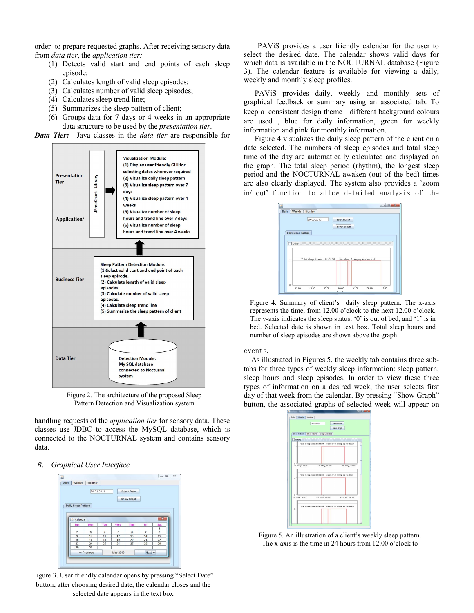order to prepare requested graphs. After receiving sensory data from *data tier*, the *application tier:*

- (1) Detects valid start and end points of each sleep episode;
- (2) Calculates length of valid sleep episodes;
- (3) Calculates number of valid sleep episodes;
- (4) Calculates sleep trend line;
- (5) Summarizes the sleep pattern of client;
- (6) Groups data for 7 days or 4 weeks in an appropriate data structure to be used by the *presentation tier*.

*Data Tier:* Java classes in the *data tier* are responsible for



Figure 2. The architecture of the proposed Sleep Pattern Detection and Visualization system

handling requests of the *application tier* for sensory data. These classes use JDBC to access the MySQL database, which is connected to the NOCTURNAL system and contains sensory data.

#### *B. Graphical User Interface*



Figure 3. User friendly calendar opens by pressing "Select Date" button; after choosing desired date, the calendar closes and the selected date appears in the text box

PAViS provides a user friendly calendar for the user to select the desired date. The calendar shows valid days for which data is available in the NOCTURNAL database (Figure 3). The calendar feature is available for viewing a daily, weekly and monthly sleep profiles.

PAViS provides daily, weekly and monthly sets of graphical feedback or summary using an associated tab. To keep a consistent design theme different background colours are used , blue for daily information, green for weekly information and pink for monthly information.

Figure 4 visualizes the daily sleep pattern of the client on a date selected. The numbers of sleep episodes and total sleep time of the day are automatically calculated and displayed on the graph. The total sleep period (rhythm), the longest sleep period and the NOCTURNAL awaken (out of the bed) times are also clearly displayed. The system also provides a 'zoom in/ out' function to allow detailed analysis of the



Figure 4. Summary of client's daily sleep pattern. The x-axis represents the time, from 12.00 o'clock to the next 12.00 o'clock. The y-axis indicates the sleep status: '0' is out of bed, and '1' is in bed. Selected date is shown in text box. Total sleep hours and number of sleep episodes are shown above the graph.

#### events.

 As illustrated in Figures 5, the weekly tab contains three subtabs for three types of weekly sleep information: sleep pattern; sleep hours and sleep episodes. In order to view these three types of information on a desired week, the user selects first day of that week from the calendar. By pressing "Show Graph" button, the associated graphs of selected week will appear on



Figure 5. An illustration of a client's weekly sleep pattern. The x-axis is the time in 24 hours from 12.00 o'clock to